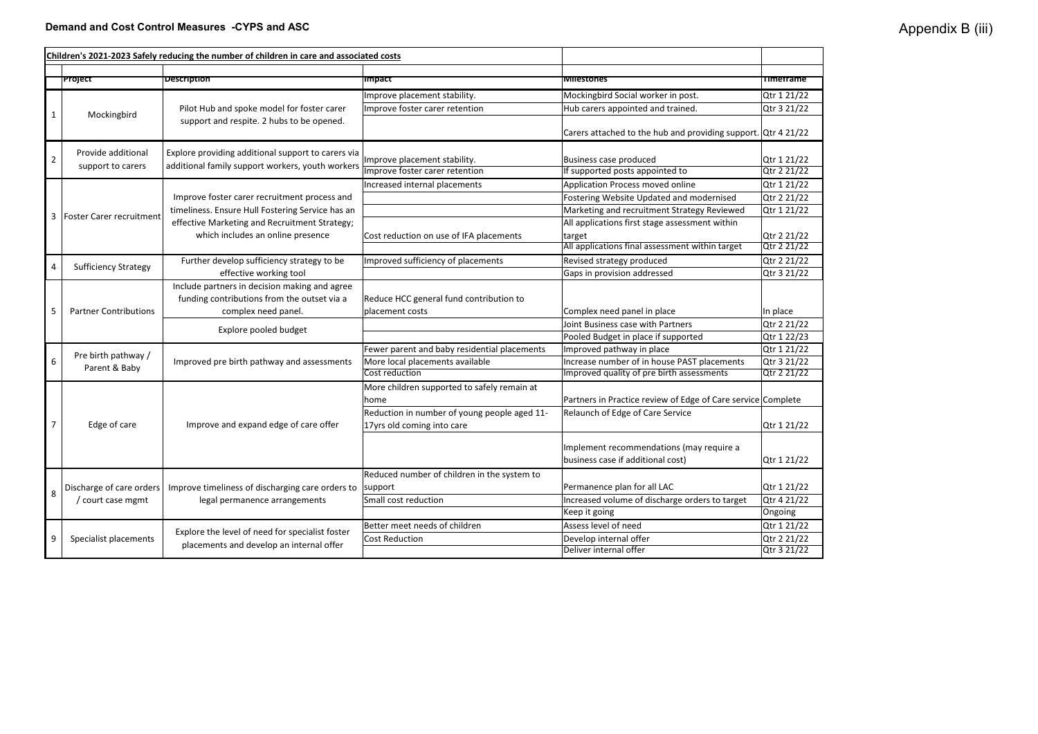### **Demand and Cost Control Measures -CYPS and ASC**

# Appendix B (iii)

|   | Children's 2021-2023 Safely reducing the number of children in care and associated costs |                                                                                             |                                                        |                                                               |                            |
|---|------------------------------------------------------------------------------------------|---------------------------------------------------------------------------------------------|--------------------------------------------------------|---------------------------------------------------------------|----------------------------|
|   | <u>project</u>                                                                           | <b>Description</b>                                                                          | <b>Impact</b>                                          | ivillestones                                                  | rimeirame                  |
|   |                                                                                          |                                                                                             | Improve placement stability.                           | Mockingbird Social worker in post.                            | Qtr 1 21/22                |
|   | Mockingbird                                                                              | Pilot Hub and spoke model for foster carer<br>support and respite. 2 hubs to be opened.     | Improve foster carer retention                         | Hub carers appointed and trained.                             | Qtr 3 21/22                |
| 1 |                                                                                          |                                                                                             |                                                        | Carers attached to the hub and providing support. Qtr 4 21/22 |                            |
|   | Explore providing additional support to carers via<br>Provide additional                 |                                                                                             |                                                        |                                                               |                            |
|   | support to carers                                                                        | additional family support workers, youth workers                                            | Improve placement stability.                           | Business case produced                                        | Qtr 1 21/22                |
|   |                                                                                          |                                                                                             | Improve foster carer retention                         | If supported posts appointed to                               | Qtr 2 21/22                |
|   |                                                                                          |                                                                                             | Increased internal placements                          | Application Process moved online                              | Qtr 1 21/22                |
|   |                                                                                          | Improve foster carer recruitment process and                                                |                                                        | Fostering Website Updated and modernised                      | Qtr 2 21/22                |
|   | 3   Foster Carer recruitment                                                             | timeliness. Ensure Hull Fostering Service has an                                            |                                                        | Marketing and recruitment Strategy Reviewed                   | Qtr 1 21/22                |
|   |                                                                                          | effective Marketing and Recruitment Strategy;                                               |                                                        | All applications first stage assessment within                |                            |
|   |                                                                                          | which includes an online presence                                                           | Cost reduction on use of IFA placements                | target                                                        | Qtr 2 21/22                |
|   |                                                                                          |                                                                                             |                                                        | All applications final assessment within target               | Qtr 2 21/22                |
|   | <b>Sufficiency Strategy</b>                                                              | Further develop sufficiency strategy to be                                                  | Improved sufficiency of placements                     | Revised strategy produced                                     | Qtr 2 21/22                |
|   |                                                                                          | effective working tool                                                                      |                                                        | Gaps in provision addressed                                   | Qtr 3 21/22                |
|   | <b>Partner Contributions</b>                                                             | Include partners in decision making and agree                                               |                                                        |                                                               |                            |
|   |                                                                                          | funding contributions from the outset via a                                                 | Reduce HCC general fund contribution to                |                                                               |                            |
| 5 |                                                                                          | complex need panel.                                                                         | placement costs                                        | Complex need panel in place                                   | In place                   |
|   |                                                                                          | Explore pooled budget                                                                       |                                                        | Joint Business case with Partners                             | Qtr 2 21/22                |
|   |                                                                                          |                                                                                             |                                                        | Pooled Budget in place if supported                           | Qtr 1 22/23                |
|   | Pre birth pathway /<br>Parent & Baby                                                     | Improved pre birth pathway and assessments                                                  | Fewer parent and baby residential placements           | Improved pathway in place                                     | Qtr 1 21/22                |
| 6 |                                                                                          |                                                                                             | More local placements available                        | Increase number of in house PAST placements                   | Qtr 3 21/22                |
|   |                                                                                          |                                                                                             | Cost reduction                                         | Improved quality of pre birth assessments                     | Qtr 2 21/22                |
|   |                                                                                          |                                                                                             | More children supported to safely remain at            |                                                               |                            |
|   | Edge of care                                                                             | Improve and expand edge of care offer                                                       | home                                                   | Partners in Practice review of Edge of Care service Complete  |                            |
|   |                                                                                          |                                                                                             | Reduction in number of young people aged 11-           | Relaunch of Edge of Care Service                              |                            |
|   |                                                                                          |                                                                                             | 17yrs old coming into care                             |                                                               | Qtr 1 21/22                |
|   |                                                                                          |                                                                                             |                                                        |                                                               |                            |
|   |                                                                                          |                                                                                             |                                                        |                                                               |                            |
|   |                                                                                          |                                                                                             |                                                        | Implement recommendations (may require a                      |                            |
|   |                                                                                          |                                                                                             |                                                        | business case if additional cost)                             | Qtr 1 21/22                |
|   |                                                                                          |                                                                                             |                                                        |                                                               |                            |
|   |                                                                                          |                                                                                             | Reduced number of children in the system to            |                                                               |                            |
| 8 | Discharge of care orders                                                                 | Improve timeliness of discharging care orders to                                            | support                                                | Permanence plan for all LAC                                   | Qtr 1 21/22                |
|   | / court case mgmt                                                                        | legal permanence arrangements                                                               | Small cost reduction                                   | Increased volume of discharge orders to target                | Qtr 4 21/22                |
|   |                                                                                          |                                                                                             |                                                        | Keep it going                                                 | Ongoing                    |
| 9 | Specialist placements                                                                    | Explore the level of need for specialist foster<br>placements and develop an internal offer | Better meet needs of children<br><b>Cost Reduction</b> | Assess level of need<br>Develop internal offer                | Qtr 1 21/22<br>Qtr 2 21/22 |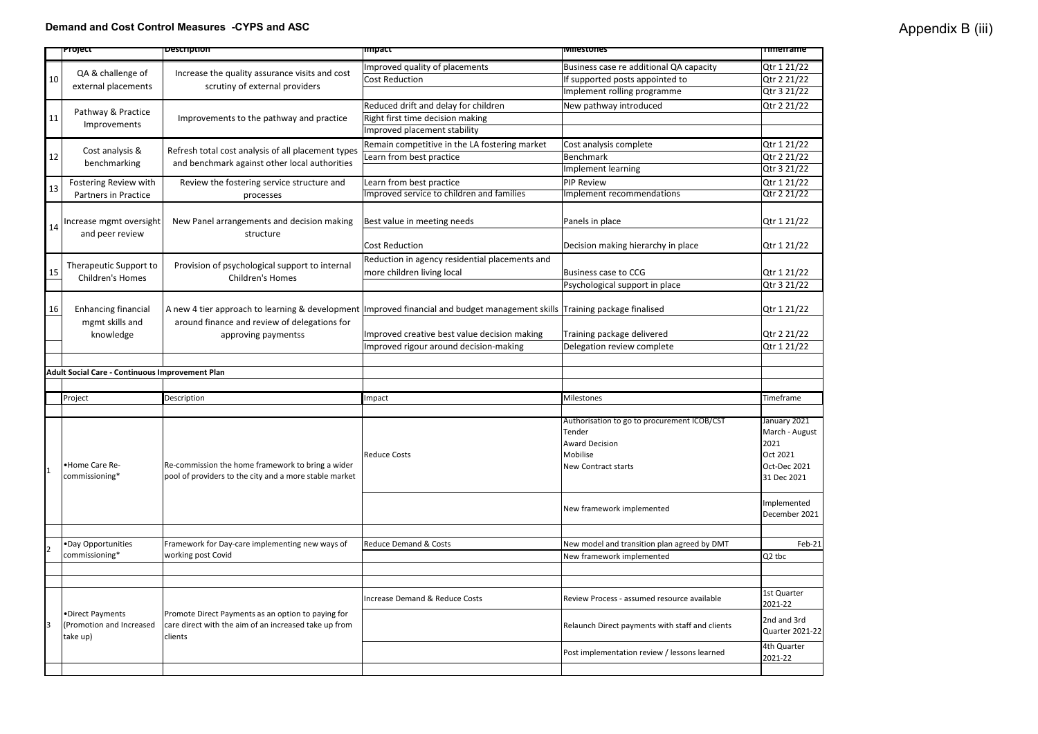### **Demand and Cost Control Measures -CYPS and ASC**

# Appendix B (iii)

|    | rroject                                         | Description                                                                                                            | <b>Impact</b>                                                                                                              | <b>IVIIIestones</b>                             | <u>rimeirame</u>       |
|----|-------------------------------------------------|------------------------------------------------------------------------------------------------------------------------|----------------------------------------------------------------------------------------------------------------------------|-------------------------------------------------|------------------------|
| 10 |                                                 |                                                                                                                        | Improved quality of placements                                                                                             | Business case re additional QA capacity         | Qtr 1 21/22            |
|    | QA & challenge of                               | Increase the quality assurance visits and cost                                                                         | <b>Cost Reduction</b>                                                                                                      | If supported posts appointed to                 | Qtr 2 21/22            |
|    | external placements                             | scrutiny of external providers                                                                                         |                                                                                                                            | Implement rolling programme                     | Qtr 3 21/22            |
|    | Pathway & Practice<br>Improvements              |                                                                                                                        | Reduced drift and delay for children                                                                                       | New pathway introduced                          | Qtr 2 21/22            |
| 11 |                                                 | Improvements to the pathway and practice                                                                               | Right first time decision making                                                                                           |                                                 |                        |
|    |                                                 |                                                                                                                        | Improved placement stability                                                                                               |                                                 |                        |
|    |                                                 |                                                                                                                        | Remain competitive in the LA fostering market                                                                              | Cost analysis complete                          | Qtr 1 21/22            |
| 12 | Cost analysis &                                 | Refresh total cost analysis of all placement types                                                                     | Learn from best practice                                                                                                   | Benchmark                                       | Qtr 2 21/22            |
|    | benchmarking                                    | and benchmark against other local authorities                                                                          |                                                                                                                            | Implement learning                              | Qtr 3 21/22            |
|    | Fostering Review with                           | Review the fostering service structure and                                                                             | Learn from best practice                                                                                                   | PIP Review                                      | Qtr 1 21/22            |
| 13 | <b>Partners in Practice</b>                     | processes                                                                                                              | Improved service to children and families                                                                                  | Implement recommendations                       | Qtr 2 21/22            |
|    |                                                 |                                                                                                                        |                                                                                                                            |                                                 |                        |
|    | Increase mgmt oversight                         | New Panel arrangements and decision making                                                                             | Best value in meeting needs                                                                                                | Panels in place                                 | Qtr 1 21/22            |
| 14 | and peer review                                 | structure                                                                                                              |                                                                                                                            |                                                 |                        |
|    |                                                 |                                                                                                                        | <b>Cost Reduction</b>                                                                                                      | Decision making hierarchy in place              | Qtr 1 21/22            |
|    |                                                 |                                                                                                                        | Reduction in agency residential placements and                                                                             |                                                 |                        |
| 15 | Therapeutic Support to                          | Provision of psychological support to internal                                                                         | more children living local                                                                                                 | <b>Business case to CCG</b>                     | Qtr 1 21/22            |
|    | <b>Children's Homes</b>                         | Children's Homes                                                                                                       |                                                                                                                            | Psychological support in place                  | Qtr 3 21/22            |
|    |                                                 |                                                                                                                        |                                                                                                                            |                                                 |                        |
| 16 | <b>Enhancing financial</b>                      |                                                                                                                        | A new 4 tier approach to learning & development Improved financial and budget management skills Training package finalised |                                                 | Qtr 1 21/22            |
|    | mgmt skills and                                 | around finance and review of delegations for                                                                           |                                                                                                                            |                                                 |                        |
|    | knowledge                                       | approving paymentss                                                                                                    | Improved creative best value decision making                                                                               | Training package delivered                      | Qtr 2 21/22            |
|    |                                                 |                                                                                                                        | Improved rigour around decision-making                                                                                     | Delegation review complete                      | Qtr 1 21/22            |
|    |                                                 |                                                                                                                        |                                                                                                                            |                                                 |                        |
|    | Adult Social Care - Continuous Improvement Plan |                                                                                                                        |                                                                                                                            |                                                 |                        |
|    |                                                 |                                                                                                                        |                                                                                                                            |                                                 |                        |
|    | Project                                         | Description                                                                                                            | Impact                                                                                                                     | <b>Milestones</b>                               | Timeframe              |
|    |                                                 |                                                                                                                        |                                                                                                                            |                                                 |                        |
|    |                                                 |                                                                                                                        |                                                                                                                            | Authorisation to go to procurement ICOB/CST     | January 2021           |
|    |                                                 | Re-commission the home framework to bring a wider<br>pool of providers to the city and a more stable market            | <b>Reduce Costs</b>                                                                                                        | Tender<br><b>Award Decision</b>                 | March - August<br>2021 |
|    |                                                 |                                                                                                                        |                                                                                                                            | Mobilise                                        | Oct 2021               |
|    | •Home Care Re-<br>commissioning*                |                                                                                                                        |                                                                                                                            | New Contract starts                             | Oct-Dec 2021           |
|    |                                                 |                                                                                                                        |                                                                                                                            |                                                 | 31 Dec 2021            |
|    |                                                 |                                                                                                                        |                                                                                                                            |                                                 |                        |
|    |                                                 |                                                                                                                        |                                                                                                                            |                                                 | Implemented            |
|    |                                                 |                                                                                                                        |                                                                                                                            | New framework implemented                       | December 2021          |
|    |                                                 |                                                                                                                        |                                                                                                                            |                                                 |                        |
|    | •Day Opportunities                              | Framework for Day-care implementing new ways of                                                                        | <b>Reduce Demand &amp; Costs</b>                                                                                           | New model and transition plan agreed by DMT     | Feb-21                 |
| 12 | commissioning*                                  | working post Covid                                                                                                     |                                                                                                                            | New framework implemented                       | Q <sub>2</sub> tbc     |
|    |                                                 |                                                                                                                        |                                                                                                                            |                                                 |                        |
|    |                                                 |                                                                                                                        |                                                                                                                            |                                                 |                        |
|    |                                                 |                                                                                                                        |                                                                                                                            |                                                 | 1st Quarter            |
|    |                                                 |                                                                                                                        | Increase Demand & Reduce Costs                                                                                             | Review Process - assumed resource available     | 2021-22                |
|    | •Direct Payments                                | Promote Direct Payments as an option to paying for<br>care direct with the aim of an increased take up from<br>clients |                                                                                                                            |                                                 | 2nd and 3rd            |
| 3  | (Promotion and Increased<br>take up)            |                                                                                                                        |                                                                                                                            | Relaunch Direct payments with staff and clients | Quarter 2021-22        |
|    |                                                 |                                                                                                                        |                                                                                                                            |                                                 | 4th Quarter            |
|    |                                                 |                                                                                                                        |                                                                                                                            | Post implementation review / lessons learned    | 2021-22                |
|    |                                                 |                                                                                                                        |                                                                                                                            |                                                 |                        |
|    |                                                 |                                                                                                                        |                                                                                                                            |                                                 |                        |